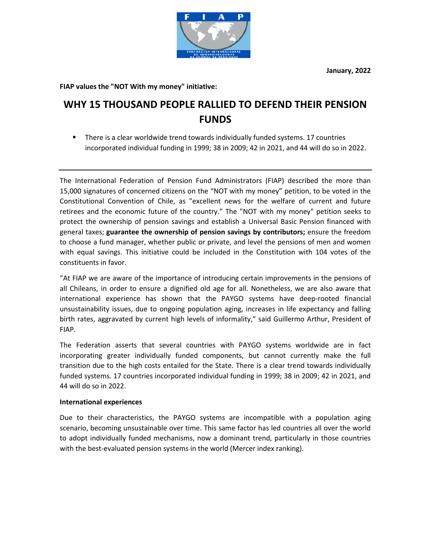**January, 2022**



## **FIAP values the "NOT With my money" initiative:**

## **WHY 15 THOUSAND PEOPLE RALLIED TO DEFEND THEIR PENSION FUNDS**

There is a clear worldwide trend towards individually funded systems. 17 countries incorporated individual funding in 1999; 38 in 2009; 42 in 2021, and 44 will do so in 2022.

The International Federation of Pension Fund Administrators (FIAP) described the more than 15,000 signatures of concerned citizens on the "NOT with my money" petition, to be voted in the Constitutional Convention of Chile, as "excellent news for the welfare of current and future retirees and the economic future of the country." The "NOT with my money" petition seeks to protect the ownership of pension savings and establish a Universal Basic Pension financed with general taxes; **guarantee the ownership of pension savings by contributors;** ensure the freedom to choose a fund manager, whether public or private, and level the pensions of men and women with equal savings. This initiative could be included in the Constitution with 104 votes of the constituents in favor.

"At FIAP we are aware of the importance of introducing certain improvements in the pensions of all Chileans, in order to ensure a dignified old age for all. Nonetheless, we are also aware that international experience has shown that the PAYGO systems have deep-rooted financial unsustainability issues, due to ongoing population aging, increases in life expectancy and falling birth rates, aggravated by current high levels of informality," said Guillermo Arthur, President of FIAP.

The Federation asserts that several countries with PAYGO systems worldwide are in fact incorporating greater individually funded components, but cannot currently make the full transition due to the high costs entailed for the State. There is a clear trend towards individually funded systems. 17 countries incorporated individual funding in 1999; 38 in 2009; 42 in 2021, and 44 will do so in 2022.

## **International experiences**

Due to their characteristics, the PAYGO systems are incompatible with a population aging scenario, becoming unsustainable over time. This same factor has led countries all over the world to adopt individually funded mechanisms, now a dominant trend, particularly in those countries with the best-evaluated pension systems in the world (Mercer index ranking).